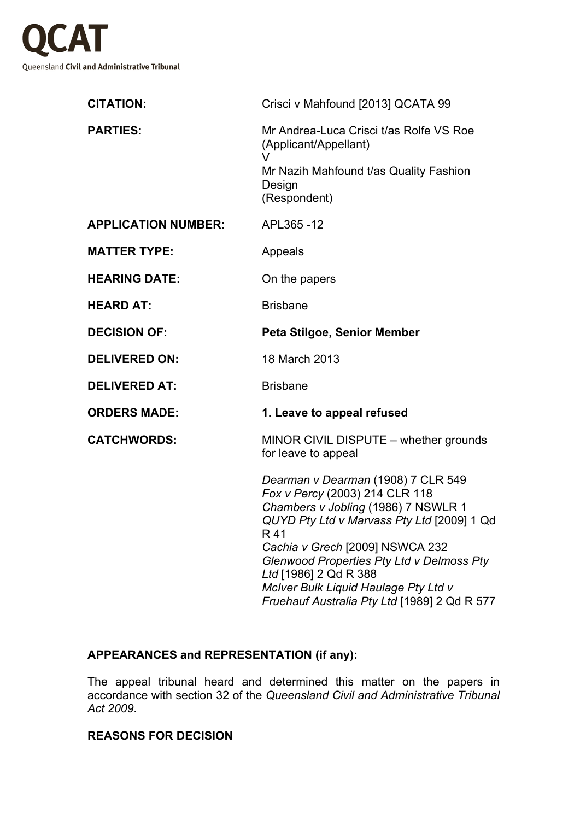

| <b>CITATION:</b>           | Crisci v Mahfound [2013] QCATA 99                                                                                                                                                                                                                                                                                                                                  |
|----------------------------|--------------------------------------------------------------------------------------------------------------------------------------------------------------------------------------------------------------------------------------------------------------------------------------------------------------------------------------------------------------------|
| <b>PARTIES:</b>            | Mr Andrea-Luca Crisci t/as Rolfe VS Roe<br>(Applicant/Appellant)<br>V                                                                                                                                                                                                                                                                                              |
|                            | Mr Nazih Mahfound t/as Quality Fashion<br>Design<br>(Respondent)                                                                                                                                                                                                                                                                                                   |
| <b>APPLICATION NUMBER:</b> | APL365-12                                                                                                                                                                                                                                                                                                                                                          |
| <b>MATTER TYPE:</b>        | Appeals                                                                                                                                                                                                                                                                                                                                                            |
| <b>HEARING DATE:</b>       | On the papers                                                                                                                                                                                                                                                                                                                                                      |
| <b>HEARD AT:</b>           | <b>Brisbane</b>                                                                                                                                                                                                                                                                                                                                                    |
| <b>DECISION OF:</b>        | Peta Stilgoe, Senior Member                                                                                                                                                                                                                                                                                                                                        |
| <b>DELIVERED ON:</b>       | 18 March 2013                                                                                                                                                                                                                                                                                                                                                      |
| <b>DELIVERED AT:</b>       | <b>Brisbane</b>                                                                                                                                                                                                                                                                                                                                                    |
| <b>ORDERS MADE:</b>        | 1. Leave to appeal refused                                                                                                                                                                                                                                                                                                                                         |
| <b>CATCHWORDS:</b>         | MINOR CIVIL DISPUTE - whether grounds<br>for leave to appeal                                                                                                                                                                                                                                                                                                       |
|                            | Dearman v Dearman (1908) 7 CLR 549<br>Fox v Percy (2003) 214 CLR 118<br>Chambers v Jobling (1986) 7 NSWLR 1<br>QUYD Pty Ltd v Marvass Pty Ltd [2009] 1 Qd<br>R 41<br>Cachia v Grech [2009] NSWCA 232<br>Glenwood Properties Pty Ltd v Delmoss Pty<br>Ltd [1986] 2 Qd R 388<br>McIver Bulk Liquid Haulage Pty Ltd v<br>Fruehauf Australia Pty Ltd [1989] 2 Qd R 577 |

## **APPEARANCES and REPRESENTATION (if any):**

The appeal tribunal heard and determined this matter on the papers in accordance with section 32 of the *Queensland Civil and Administrative Tribunal Act 2009*.

## **REASONS FOR DECISION**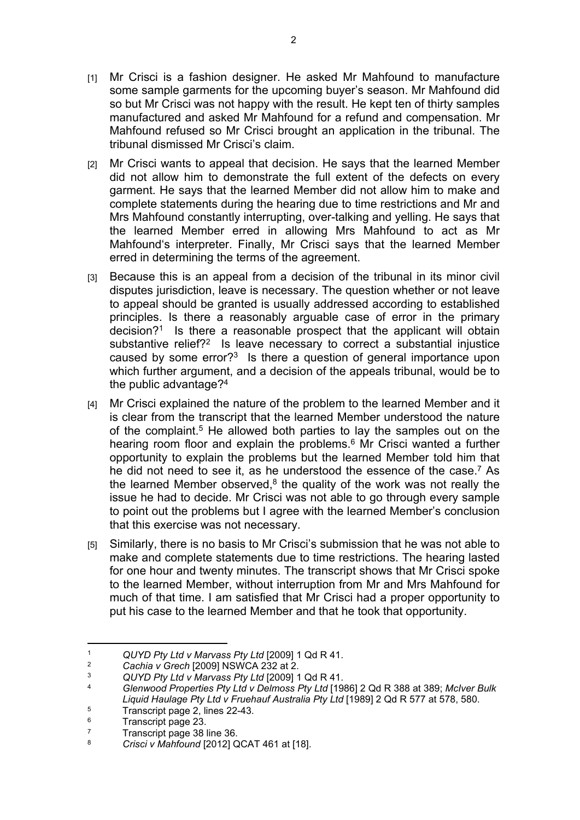- [1] Mr Crisci is a fashion designer. He asked Mr Mahfound to manufacture some sample garments for the upcoming buyer's season. Mr Mahfound did so but Mr Crisci was not happy with the result. He kept ten of thirty samples manufactured and asked Mr Mahfound for a refund and compensation. Mr Mahfound refused so Mr Crisci brought an application in the tribunal. The tribunal dismissed Mr Crisci's claim.
- [2] Mr Crisci wants to appeal that decision. He says that the learned Member did not allow him to demonstrate the full extent of the defects on every garment. He says that the learned Member did not allow him to make and complete statements during the hearing due to time restrictions and Mr and Mrs Mahfound constantly interrupting, over-talking and yelling. He says that the learned Member erred in allowing Mrs Mahfound to act as Mr Mahfound's interpreter. Finally, Mr Crisci says that the learned Member erred in determining the terms of the agreement.
- [3] Because this is an appeal from a decision of the tribunal in its minor civil disputes jurisdiction, leave is necessary. The question whether or not leave to appeal should be granted is usually addressed according to established principles. Is there a reasonably arguable case of error in the primary decision?<sup>1</sup> Is there a reasonable prospect that the applicant will obtain substantive relief?<sup>2</sup> Is leave necessary to correct a substantial injustice caused by some error?<sup>3</sup> Is there a question of general importance upon which further argument, and a decision of the appeals tribunal, would be to the public advantage?<sup>4</sup>
- [4] Mr Crisci explained the nature of the problem to the learned Member and it is clear from the transcript that the learned Member understood the nature of the complaint.<sup>5</sup> He allowed both parties to lay the samples out on the hearing room floor and explain the problems.<sup>6</sup> Mr Crisci wanted a further opportunity to explain the problems but the learned Member told him that he did not need to see it, as he understood the essence of the case.<sup>7</sup> As the learned Member observed, $8$  the quality of the work was not really the issue he had to decide. Mr Crisci was not able to go through every sample to point out the problems but I agree with the learned Member's conclusion that this exercise was not necessary.
- [5] Similarly, there is no basis to Mr Crisci's submission that he was not able to make and complete statements due to time restrictions. The hearing lasted for one hour and twenty minutes. The transcript shows that Mr Crisci spoke to the learned Member, without interruption from Mr and Mrs Mahfound for much of that time. I am satisfied that Mr Crisci had a proper opportunity to put his case to the learned Member and that he took that opportunity.

<sup>1</sup> *QUYD Pty Ltd v Marvass Pty Ltd* [2009] 1 Qd R 41.

<sup>&</sup>lt;sup>2</sup> *Cachia v Grech* [2009] NSWCA 232 at 2.<br>3 *OUVD Ptu Ltd y Manges Ptu Ltd* [2000] 1

<sup>3</sup> *QUYD Pty Ltd v Marvass Pty Ltd* [2009] 1 Qd R 41.

<sup>4</sup> *Glenwood Properties Pty Ltd v Delmoss Pty Ltd* [1986] 2 Qd R 388 at 389; *McIver Bulk Liquid Haulage Pty Ltd v Fruehauf Australia Pty Ltd* [1989] 2 Qd R 577 at 578, 580.

<sup>5</sup> Transcript page 2, lines 22-43.

<sup>6</sup> Transcript page 23.

<sup>7</sup>  $T^7$  Transcript page 38 line 36.

<sup>8</sup> *Crisci v Mahfound* [2012] QCAT 461 at [18].